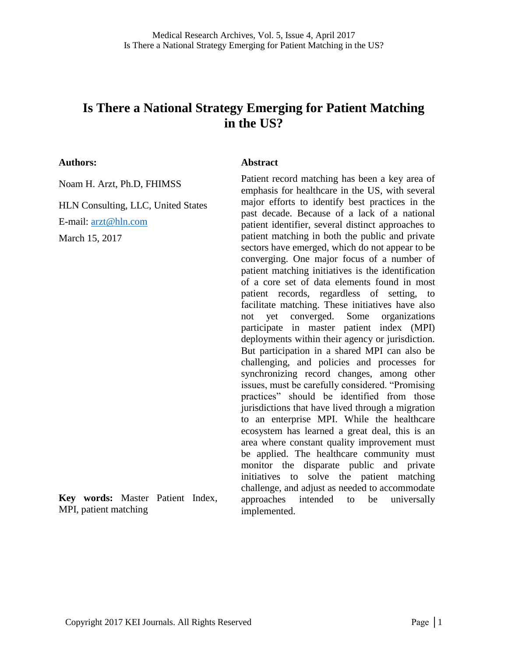# **Is There a National Strategy Emerging for Patient Matching in the US?**

#### **Authors:**

Noam H. Arzt, Ph.D, FHIMSS

HLN Consulting, LLC, United States

E-mail: [arzt@hln.com](mailto:arzt@hln.com)

March 15, 2017

#### **Abstract**

Patient record matching has been a key area of emphasis for healthcare in the US, with several major efforts to identify best practices in the past decade. Because of a lack of a national patient identifier, several distinct approaches to patient matching in both the public and private sectors have emerged, which do not appear to be converging. One major focus of a number of patient matching initiatives is the identification of a core set of data elements found in most patient records, regardless of setting, to facilitate matching. These initiatives have also not yet converged. Some organizations participate in master patient index (MPI) deployments within their agency or jurisdiction. But participation in a shared MPI can also be challenging, and policies and processes for synchronizing record changes, among other issues, must be carefully considered. "Promising practices" should be identified from those jurisdictions that have lived through a migration to an enterprise MPI. While the healthcare ecosystem has learned a great deal, this is an area where constant quality improvement must be applied. The healthcare community must monitor the disparate public and private initiatives to solve the patient matching challenge, and adjust as needed to accommodate approaches intended to be universally implemented.

**Key words:** Master Patient Index, MPI, patient matching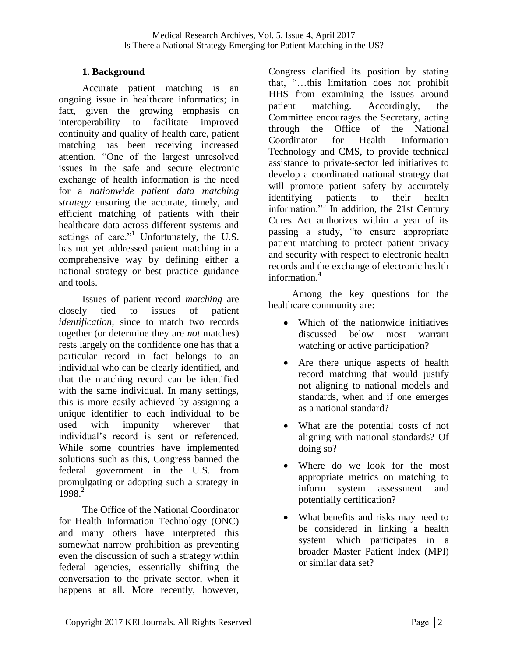## **1. Background**

Accurate patient matching is an ongoing issue in healthcare informatics; in fact, given the growing emphasis on interoperability to facilitate improved continuity and quality of health care, patient matching has been receiving increased attention. "One of the largest unresolved issues in the safe and secure electronic exchange of health information is the need for a *nationwide patient data matching strategy* ensuring the accurate, timely, and efficient matching of patients with their healthcare data across different systems and settings of care."<sup>1</sup> Unfortunately, the U.S. has not yet addressed patient matching in a comprehensive way by defining either a national strategy or best practice guidance and tools.

Issues of patient record *matching* are closely tied to issues of patient *identification,* since to match two records together (or determine they are *not* matches) rests largely on the confidence one has that a particular record in fact belongs to an individual who can be clearly identified, and that the matching record can be identified with the same individual. In many settings, this is more easily achieved by assigning a unique identifier to each individual to be used with impunity wherever that individual's record is sent or referenced. While some countries have implemented solutions such as this, Congress banned the federal government in the U.S. from promulgating or adopting such a strategy in 1998<sup>2</sup>

The Office of the National Coordinator for Health Information Technology (ONC) and many others have interpreted this somewhat narrow prohibition as preventing even the discussion of such a strategy within federal agencies, essentially shifting the conversation to the private sector, when it happens at all. More recently, however,

Congress clarified its position by stating that, "...this limitation does not prohibit HHS from examining the issues around patient matching. Accordingly, the Committee encourages the Secretary, acting through the Office of the National Coordinator for Health Information Technology and CMS, to provide technical assistance to private-sector led initiatives to develop a coordinated national strategy that will promote patient safety by accurately identifying patients to their health information."<sup>3</sup> In addition, the 21st Century Cures Act authorizes within a year of its passing a study, "to ensure appropriate patient matching to protect patient privacy and security with respect to electronic health records and the exchange of electronic health information $<sup>4</sup>$ </sup>

Among the key questions for the healthcare community are:

- Which of the nationwide initiatives discussed below most warrant watching or active participation?
- Are there unique aspects of health record matching that would justify not aligning to national models and standards, when and if one emerges as a national standard?
- What are the potential costs of not aligning with national standards? Of doing so?
- Where do we look for the most appropriate metrics on matching to inform system assessment and potentially certification?
- What benefits and risks may need to be considered in linking a health system which participates in a broader Master Patient Index (MPI) or similar data set?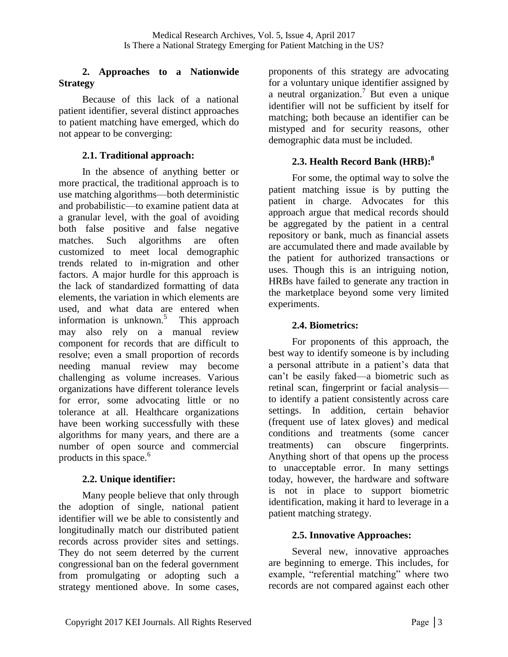#### **2. Approaches to a Nationwide Strategy**

Because of this lack of a national patient identifier, several distinct approaches to patient matching have emerged, which do not appear to be converging:

### **2.1. Traditional approach:**

In the absence of anything better or more practical, the traditional approach is to use matching algorithms—both deterministic and probabilistic—to examine patient data at a granular level, with the goal of avoiding both false positive and false negative matches. Such algorithms are often customized to meet local demographic trends related to in-migration and other factors. A major hurdle for this approach is the lack of standardized formatting of data elements, the variation in which elements are used, and what data are entered when information is unknown.<sup>5</sup> This approach may also rely on a manual review component for records that are difficult to resolve; even a small proportion of records needing manual review may become challenging as volume increases. Various organizations have different tolerance levels for error, some advocating little or no tolerance at all. Healthcare organizations have been working successfully with these algorithms for many years, and there are a number of open source and commercial products in this space.<sup>6</sup>

## **2.2. Unique identifier:**

Many people believe that only through the adoption of single, national patient identifier will we be able to consistently and longitudinally match our distributed patient records across provider sites and settings. They do not seem deterred by the current congressional ban on the federal government from promulgating or adopting such a strategy mentioned above. In some cases,

proponents of this strategy are advocating for a voluntary unique identifier assigned by a neutral organization.<sup>7</sup> But even a unique identifier will not be sufficient by itself for matching; both because an identifier can be mistyped and for security reasons, other demographic data must be included.

## **2.3. Health Record Bank (HRB): 8**

For some, the optimal way to solve the patient matching issue is by putting the patient in charge. Advocates for this approach argue that medical records should be aggregated by the patient in a central repository or bank, much as financial assets are accumulated there and made available by the patient for authorized transactions or uses. Though this is an intriguing notion, HRBs have failed to generate any traction in the marketplace beyond some very limited experiments.

### **2.4. Biometrics:**

For proponents of this approach, the best way to identify someone is by including a personal attribute in a patient's data that can't be easily faked—a biometric such as retinal scan, fingerprint or facial analysis to identify a patient consistently across care settings. In addition, certain behavior (frequent use of latex gloves) and medical conditions and treatments (some cancer treatments) can obscure fingerprints. Anything short of that opens up the process to unacceptable error. In many settings today, however, the hardware and software is not in place to support biometric identification, making it hard to leverage in a patient matching strategy.

### **2.5. Innovative Approaches:**

Several new, innovative approaches are beginning to emerge. This includes, for example, "referential matching" where two records are not compared against each other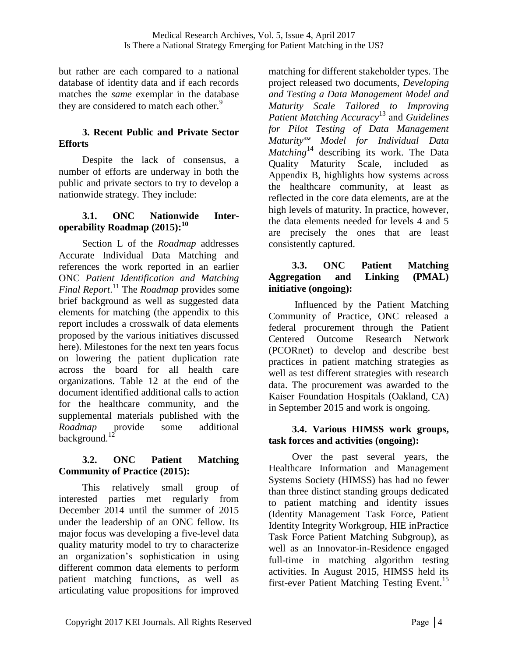but rather are each compared to a national database of identity data and if each records matches the *same* exemplar in the database they are considered to match each other.<sup>9</sup>

### **3. Recent Public and Private Sector Efforts**

Despite the lack of consensus, a number of efforts are underway in both the public and private sectors to try to develop a nationwide strategy. They include:

### **3.1. ONC Nationwide Interoperability Roadmap (2015): 10**

Section L of the *Roadmap* addresses Accurate Individual Data Matching and references the work reported in an earlier ONC *Patient Identification and Matching Final Report*. <sup>11</sup> The *Roadmap* provides some brief background as well as suggested data elements for matching (the appendix to this report includes a crosswalk of data elements proposed by the various initiatives discussed here). Milestones for the next ten years focus on lowering the patient duplication rate across the board for all health care organizations. Table 12 at the end of the document identified additional calls to action for the healthcare community, and the supplemental materials published with the *Roadmap* provide some additional background.<sup>12</sup>

### **3.2. ONC Patient Matching Community of Practice (2015):**

This relatively small group of interested parties met regularly from December 2014 until the summer of 2015 under the leadership of an ONC fellow. Its major focus was developing a five-level data quality maturity model to try to characterize an organization's sophistication in using different common data elements to perform patient matching functions, as well as articulating value propositions for improved

matching for different stakeholder types. The project released two documents, *Developing and Testing a Data Management Model and Maturity Scale Tailored to Improving Patient Matching Accuracy*<sup>13</sup> and *Guidelines for Pilot Testing of Data Management Maturity℠ Model for Individual Data Matching*<sup>14</sup> describing its work. The Data Quality Maturity Scale, included as Appendix B, highlights how systems across the healthcare community, at least as reflected in the core data elements, are at the high levels of maturity. In practice, however, the data elements needed for levels 4 and 5 are precisely the ones that are least consistently captured.

### **3.3. ONC Patient Matching Aggregation and Linking (PMAL) initiative (ongoing):**

Influenced by the Patient Matching Community of Practice, ONC released a federal procurement through the Patient Centered Outcome Research Network (PCORnet) to develop and describe best practices in patient matching strategies as well as test different strategies with research data. The procurement was awarded to the Kaiser Foundation Hospitals (Oakland, CA) in September 2015 and work is ongoing.

### **3.4. Various HIMSS work groups, task forces and activities (ongoing):**

Over the past several years, the Healthcare Information and Management Systems Society (HIMSS) has had no fewer than three distinct standing groups dedicated to patient matching and identity issues (Identity Management Task Force, Patient Identity Integrity Workgroup, HIE inPractice Task Force Patient Matching Subgroup), as well as an Innovator-in-Residence engaged full-time in matching algorithm testing activities. In August 2015, HIMSS held its first-ever Patient Matching Testing Event.<sup>15</sup>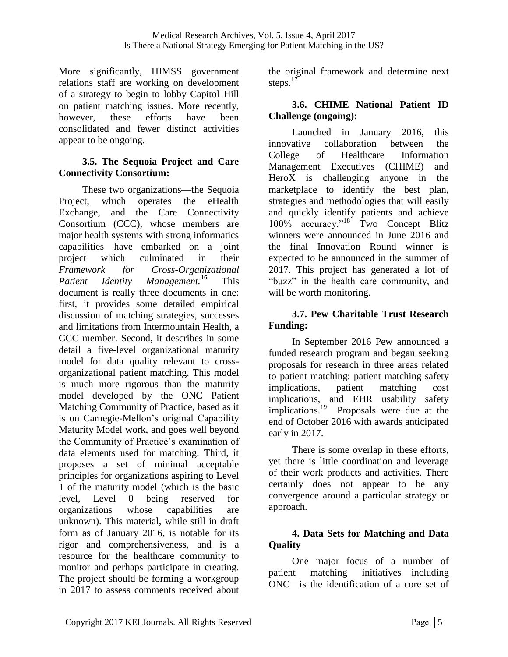More significantly, HIMSS government relations staff are working on development of a strategy to begin to lobby Capitol Hill on patient matching issues. More recently, however, these efforts have been consolidated and fewer distinct activities appear to be ongoing.

### **3.5. The Sequoia Project and Care Connectivity Consortium:**

These two organizations—the Sequoia Project, which operates the eHealth Exchange, and the Care Connectivity Consortium (CCC), whose members are major health systems with strong informatics capabilities—have embarked on a joint project which culminated in their *Framework for Cross-Organizational Patient Identity Management.***<sup>16</sup>** This document is really three documents in one: first, it provides some detailed empirical discussion of matching strategies, successes and limitations from Intermountain Health, a CCC member. Second, it describes in some detail a five-level organizational maturity model for data quality relevant to crossorganizational patient matching. This model is much more rigorous than the maturity model developed by the ONC Patient Matching Community of Practice, based as it is on Carnegie-Mellon's original Capability Maturity Model work, and goes well beyond the Community of Practice's examination of data elements used for matching. Third, it proposes a set of minimal acceptable principles for organizations aspiring to Level 1 of the maturity model (which is the basic level, Level 0 being reserved for organizations whose capabilities are unknown). This material, while still in draft form as of January 2016, is notable for its rigor and comprehensiveness, and is a resource for the healthcare community to monitor and perhaps participate in creating. The project should be forming a workgroup in 2017 to assess comments received about the original framework and determine next steps. $17$ 

## **3.6. CHIME National Patient ID Challenge (ongoing):**

Launched in January 2016, this innovative collaboration between the College of Healthcare Information Management Executives (CHIME) and HeroX is challenging anyone in the marketplace to identify the best plan, strategies and methodologies that will easily and quickly identify patients and achieve 100% accuracy."<sup>18</sup> Two Concept Blitz winners were announced in June 2016 and the final Innovation Round winner is expected to be announced in the summer of 2017. This project has generated a lot of "buzz" in the health care community, and will be worth monitoring.

## **3.7. Pew Charitable Trust Research Funding:**

In September 2016 Pew announced a funded research program and began seeking proposals for research in three areas related to patient matching: patient matching safety implications, patient matching cost implications, and EHR usability safety implications.<sup>19</sup> Proposals were due at the end of October 2016 with awards anticipated early in 2017.

There is some overlap in these efforts, yet there is little coordination and leverage of their work products and activities. There certainly does not appear to be any convergence around a particular strategy or approach.

### **4. Data Sets for Matching and Data Quality**

One major focus of a number of patient matching initiatives—including ONC—is the identification of a core set of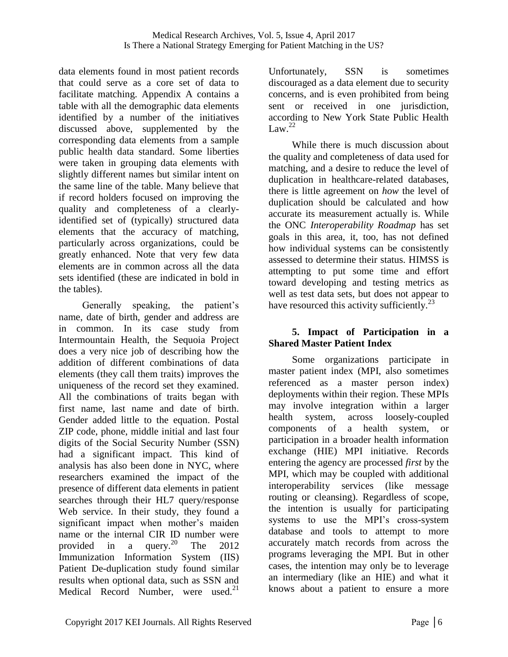data elements found in most patient records that could serve as a core set of data to facilitate matching. Appendix A contains a table with all the demographic data elements identified by a number of the initiatives discussed above, supplemented by the corresponding data elements from a sample public health data standard. Some liberties were taken in grouping data elements with slightly different names but similar intent on the same line of the table. Many believe that if record holders focused on improving the quality and completeness of a clearlyidentified set of (typically) structured data elements that the accuracy of matching, particularly across organizations, could be greatly enhanced. Note that very few data elements are in common across all the data sets identified (these are indicated in bold in the tables).

Generally speaking, the patient's name, date of birth, gender and address are in common. In its case study from Intermountain Health, the Sequoia Project does a very nice job of describing how the addition of different combinations of data elements (they call them traits) improves the uniqueness of the record set they examined. All the combinations of traits began with first name, last name and date of birth. Gender added little to the equation. Postal ZIP code, phone, middle initial and last four digits of the Social Security Number (SSN) had a significant impact. This kind of analysis has also been done in NYC, where researchers examined the impact of the presence of different data elements in patient searches through their HL7 query/response Web service. In their study, they found a significant impact when mother's maiden name or the internal CIR ID number were provided in a query.<sup>20</sup> The 2012 Immunization Information System (IIS) Patient De-duplication study found similar results when optional data, such as SSN and Medical Record Number, were used.<sup>21</sup>

Unfortunately, SSN is sometimes discouraged as a data element due to security concerns, and is even prohibited from being sent or received in one jurisdiction, according to New York State Public Health Law.<sup>22</sup>

While there is much discussion about the quality and completeness of data used for matching, and a desire to reduce the level of duplication in healthcare-related databases, there is little agreement on *how* the level of duplication should be calculated and how accurate its measurement actually is. While the ONC *Interoperability Roadmap* has set goals in this area, it, too, has not defined how individual systems can be consistently assessed to determine their status. HIMSS is attempting to put some time and effort toward developing and testing metrics as well as test data sets, but does not appear to have resourced this activity sufficiently.<sup>23</sup>

### **5. Impact of Participation in a Shared Master Patient Index**

Some organizations participate in master patient index (MPI, also sometimes referenced as a master person index) deployments within their region. These MPIs may involve integration within a larger health system, across loosely-coupled components of a health system, or participation in a broader health information exchange (HIE) MPI initiative. Records entering the agency are processed *first* by the MPI, which may be coupled with additional interoperability services (like message routing or cleansing). Regardless of scope, the intention is usually for participating systems to use the MPI's cross-system database and tools to attempt to more accurately match records from across the programs leveraging the MPI. But in other cases, the intention may only be to leverage an intermediary (like an HIE) and what it knows about a patient to ensure a more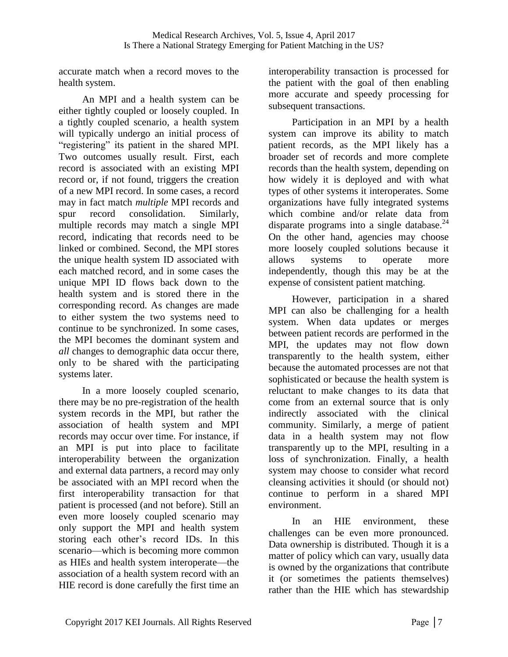accurate match when a record moves to the health system.

An MPI and a health system can be either tightly coupled or loosely coupled. In a tightly coupled scenario, a health system will typically undergo an initial process of "registering" its patient in the shared MPI. Two outcomes usually result. First, each record is associated with an existing MPI record or, if not found, triggers the creation of a new MPI record. In some cases, a record may in fact match *multiple* MPI records and spur record consolidation. Similarly, multiple records may match a single MPI record, indicating that records need to be linked or combined. Second, the MPI stores the unique health system ID associated with each matched record, and in some cases the unique MPI ID flows back down to the health system and is stored there in the corresponding record. As changes are made to either system the two systems need to continue to be synchronized. In some cases, the MPI becomes the dominant system and *all* changes to demographic data occur there, only to be shared with the participating systems later.

In a more loosely coupled scenario, there may be no pre-registration of the health system records in the MPI, but rather the association of health system and MPI records may occur over time. For instance, if an MPI is put into place to facilitate interoperability between the organization and external data partners, a record may only be associated with an MPI record when the first interoperability transaction for that patient is processed (and not before). Still an even more loosely coupled scenario may only support the MPI and health system storing each other's record IDs. In this scenario—which is becoming more common as HIEs and health system interoperate—the association of a health system record with an HIE record is done carefully the first time an

interoperability transaction is processed for the patient with the goal of then enabling more accurate and speedy processing for subsequent transactions.

Participation in an MPI by a health system can improve its ability to match patient records, as the MPI likely has a broader set of records and more complete records than the health system, depending on how widely it is deployed and with what types of other systems it interoperates. Some organizations have fully integrated systems which combine and/or relate data from disparate programs into a single database. $^{24}$ On the other hand, agencies may choose more loosely coupled solutions because it allows systems to operate more independently, though this may be at the expense of consistent patient matching.

However, participation in a shared MPI can also be challenging for a health system. When data updates or merges between patient records are performed in the MPI, the updates may not flow down transparently to the health system, either because the automated processes are not that sophisticated or because the health system is reluctant to make changes to its data that come from an external source that is only indirectly associated with the clinical community. Similarly, a merge of patient data in a health system may not flow transparently up to the MPI, resulting in a loss of synchronization. Finally, a health system may choose to consider what record cleansing activities it should (or should not) continue to perform in a shared MPI environment.

In an HIE environment, these challenges can be even more pronounced. Data ownership is distributed. Though it is a matter of policy which can vary, usually data is owned by the organizations that contribute it (or sometimes the patients themselves) rather than the HIE which has stewardship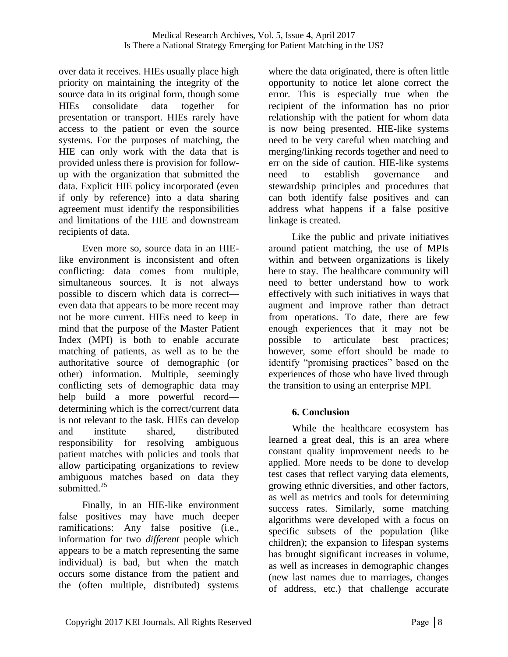over data it receives. HIEs usually place high priority on maintaining the integrity of the source data in its original form, though some HIEs consolidate data together for presentation or transport. HIEs rarely have access to the patient or even the source systems. For the purposes of matching, the HIE can only work with the data that is provided unless there is provision for followup with the organization that submitted the data. Explicit HIE policy incorporated (even if only by reference) into a data sharing agreement must identify the responsibilities and limitations of the HIE and downstream recipients of data.

Even more so, source data in an HIElike environment is inconsistent and often conflicting: data comes from multiple, simultaneous sources. It is not always possible to discern which data is correct even data that appears to be more recent may not be more current. HIEs need to keep in mind that the purpose of the Master Patient Index (MPI) is both to enable accurate matching of patients, as well as to be the authoritative source of demographic (or other) information. Multiple, seemingly conflicting sets of demographic data may help build a more powerful record determining which is the correct/current data is not relevant to the task. HIEs can develop and institute shared, distributed responsibility for resolving ambiguous patient matches with policies and tools that allow participating organizations to review ambiguous matches based on data they submitted.<sup>25</sup>

Finally, in an HIE-like environment false positives may have much deeper ramifications: Any false positive (i.e., information for two *different* people which appears to be a match representing the same individual) is bad, but when the match occurs some distance from the patient and the (often multiple, distributed) systems

where the data originated, there is often little opportunity to notice let alone correct the error. This is especially true when the recipient of the information has no prior relationship with the patient for whom data is now being presented. HIE-like systems need to be very careful when matching and merging/linking records together and need to err on the side of caution. HIE-like systems need to establish governance and stewardship principles and procedures that can both identify false positives and can address what happens if a false positive linkage is created.

Like the public and private initiatives around patient matching, the use of MPIs within and between organizations is likely here to stay. The healthcare community will need to better understand how to work effectively with such initiatives in ways that augment and improve rather than detract from operations. To date, there are few enough experiences that it may not be possible to articulate best practices; however, some effort should be made to identify "promising practices" based on the experiences of those who have lived through the transition to using an enterprise MPI.

### **6. Conclusion**

While the healthcare ecosystem has learned a great deal, this is an area where constant quality improvement needs to be applied. More needs to be done to develop test cases that reflect varying data elements, growing ethnic diversities, and other factors, as well as metrics and tools for determining success rates. Similarly, some matching algorithms were developed with a focus on specific subsets of the population (like children); the expansion to lifespan systems has brought significant increases in volume, as well as increases in demographic changes (new last names due to marriages, changes of address, etc.) that challenge accurate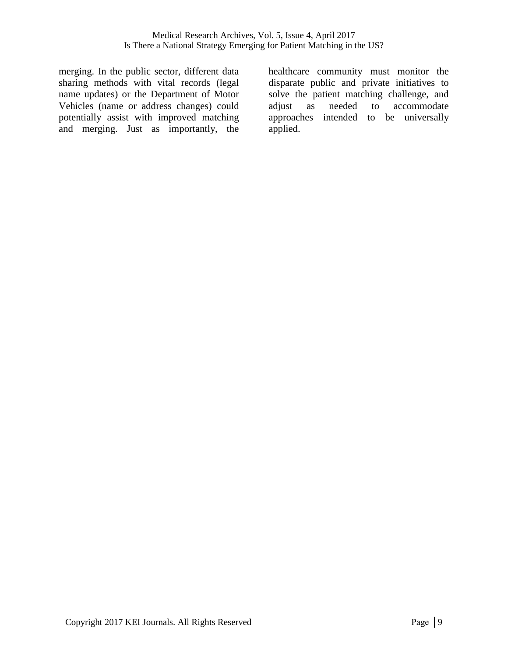merging. In the public sector, different data sharing methods with vital records (legal name updates) or the Department of Motor Vehicles (name or address changes) could potentially assist with improved matching and merging. Just as importantly, the healthcare community must monitor the disparate public and private initiatives to solve the patient matching challenge, and adjust as needed to accommodate approaches intended to be universally applied.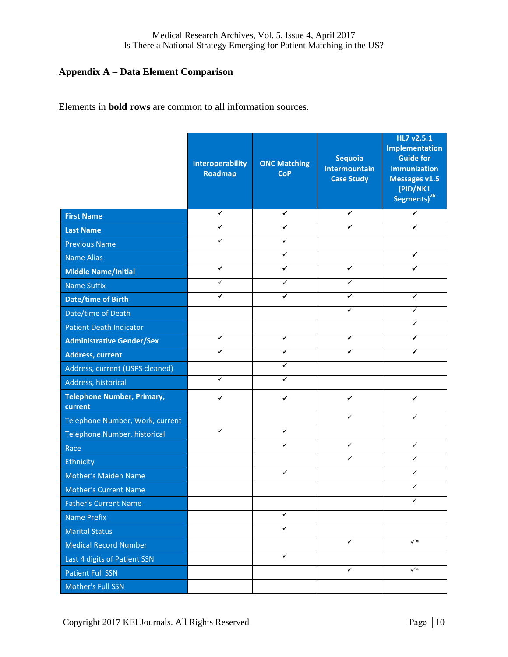### **Appendix A – Data Element Comparison**

Elements in **bold rows** are common to all information sources.

|                                              | <b>Interoperability</b><br>Roadmap | <b>ONC Matching</b><br><b>CoP</b> | <b>Sequoia</b><br><b>Intermountain</b><br><b>Case Study</b> | HL7 v2.5.1<br><b>Implementation</b><br><b>Guide for</b><br><b>Immunization</b><br><b>Messages v1.5</b><br>(PID/NK1<br>Segments) <sup>26</sup> |
|----------------------------------------------|------------------------------------|-----------------------------------|-------------------------------------------------------------|-----------------------------------------------------------------------------------------------------------------------------------------------|
| <b>First Name</b>                            | $\checkmark$                       | ✓                                 | $\checkmark$                                                | ✓                                                                                                                                             |
| <b>Last Name</b>                             | ✔                                  | ✔                                 | ✔                                                           | ✔                                                                                                                                             |
| <b>Previous Name</b>                         | ✓                                  | $\checkmark$                      |                                                             |                                                                                                                                               |
| <b>Name Alias</b>                            |                                    | ✓                                 |                                                             | ✔                                                                                                                                             |
| <b>Middle Name/Initial</b>                   | $\overline{\checkmark}$            | ✓                                 | $\checkmark$                                                | ✔                                                                                                                                             |
| <b>Name Suffix</b>                           | ✓                                  | $\checkmark$                      | ✓                                                           |                                                                                                                                               |
| <b>Date/time of Birth</b>                    | ✔                                  | ✔                                 | ✓                                                           | ✔                                                                                                                                             |
| Date/time of Death                           |                                    |                                   | ✓                                                           | ✓                                                                                                                                             |
| <b>Patient Death Indicator</b>               |                                    |                                   |                                                             | ✓                                                                                                                                             |
| <b>Administrative Gender/Sex</b>             | ✓                                  | ✓                                 | ✓                                                           | ✓                                                                                                                                             |
| <b>Address, current</b>                      | ✔                                  | ✔                                 | ✔                                                           | ✔                                                                                                                                             |
| Address, current (USPS cleaned)              |                                    | ✓                                 |                                                             |                                                                                                                                               |
| Address, historical                          | $\checkmark$                       | $\checkmark$                      |                                                             |                                                                                                                                               |
| <b>Telephone Number, Primary,</b><br>current | ✔                                  | ✓                                 | ✔                                                           | ✔                                                                                                                                             |
| Telephone Number, Work, current              |                                    |                                   | ✓                                                           | ✓                                                                                                                                             |
| Telephone Number, historical                 | ✓                                  | $\checkmark$                      |                                                             |                                                                                                                                               |
| Race                                         |                                    | ✓                                 | ✓                                                           | ✓                                                                                                                                             |
| Ethnicity                                    |                                    |                                   | ✓                                                           | ✓                                                                                                                                             |
| <b>Mother's Maiden Name</b>                  |                                    | ✓                                 |                                                             | ✓                                                                                                                                             |
| <b>Mother's Current Name</b>                 |                                    |                                   |                                                             | ✓                                                                                                                                             |
| <b>Father's Current Name</b>                 |                                    |                                   |                                                             | ✓                                                                                                                                             |
| <b>Name Prefix</b>                           |                                    | ✓                                 |                                                             |                                                                                                                                               |
| <b>Marital Status</b>                        |                                    | $\checkmark$                      |                                                             |                                                                                                                                               |
| <b>Medical Record Number</b>                 |                                    |                                   | $\checkmark$                                                | $\checkmark$                                                                                                                                  |
| Last 4 digits of Patient SSN                 |                                    | $\checkmark$                      |                                                             |                                                                                                                                               |
| <b>Patient Full SSN</b>                      |                                    |                                   | $\checkmark$                                                | $\checkmark$                                                                                                                                  |
| Mother's Full SSN                            |                                    |                                   |                                                             |                                                                                                                                               |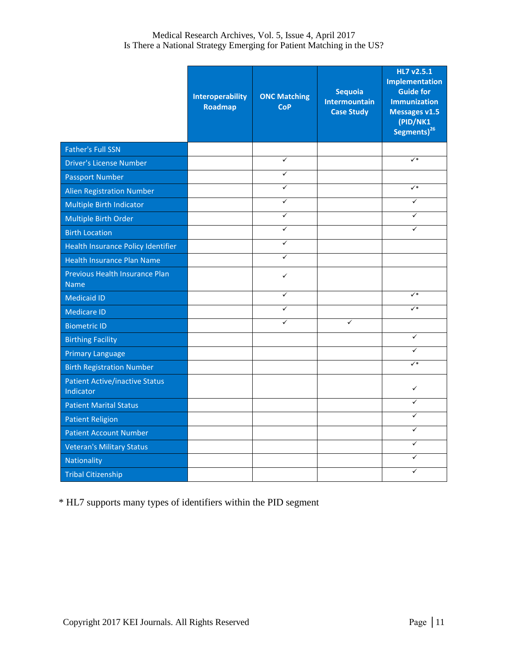#### Medical Research Archives, Vol. 5, Issue 4, April 2017 Is There a National Strategy Emerging for Patient Matching in the US?

|                                                    | <b>Interoperability</b><br>Roadmap | <b>ONC Matching</b><br><b>CoP</b> | <b>Sequoia</b><br><b>Intermountain</b><br><b>Case Study</b> | HL7 v2.5.1<br><b>Implementation</b><br><b>Guide for</b><br><b>Immunization</b><br><b>Messages v1.5</b><br>(PID/NK1<br>Segments) <sup>26</sup> |
|----------------------------------------------------|------------------------------------|-----------------------------------|-------------------------------------------------------------|-----------------------------------------------------------------------------------------------------------------------------------------------|
| <b>Father's Full SSN</b>                           |                                    |                                   |                                                             |                                                                                                                                               |
| <b>Driver's License Number</b>                     |                                    | $\checkmark$                      |                                                             | $\checkmark$                                                                                                                                  |
| <b>Passport Number</b>                             |                                    | $\overline{\checkmark}$           |                                                             |                                                                                                                                               |
| <b>Alien Registration Number</b>                   |                                    | $\checkmark$                      |                                                             | $\checkmark^*$                                                                                                                                |
| Multiple Birth Indicator                           |                                    | $\checkmark$                      |                                                             | ✓                                                                                                                                             |
| Multiple Birth Order                               |                                    | $\checkmark$                      |                                                             | $\checkmark$                                                                                                                                  |
| <b>Birth Location</b>                              |                                    | ✓                                 |                                                             | $\checkmark$                                                                                                                                  |
| Health Insurance Policy Identifier                 |                                    | $\checkmark$                      |                                                             |                                                                                                                                               |
| <b>Health Insurance Plan Name</b>                  |                                    | $\checkmark$                      |                                                             |                                                                                                                                               |
| Previous Health Insurance Plan<br><b>Name</b>      |                                    | ✓                                 |                                                             |                                                                                                                                               |
| <b>Medicaid ID</b>                                 |                                    | $\checkmark$                      |                                                             | $\checkmark$                                                                                                                                  |
| <b>Medicare ID</b>                                 |                                    | $\checkmark$                      |                                                             | $\checkmark^*$                                                                                                                                |
| <b>Biometric ID</b>                                |                                    | $\checkmark$                      | $\checkmark$                                                |                                                                                                                                               |
| <b>Birthing Facility</b>                           |                                    |                                   |                                                             | $\checkmark$                                                                                                                                  |
| <b>Primary Language</b>                            |                                    |                                   |                                                             | ✓                                                                                                                                             |
| <b>Birth Registration Number</b>                   |                                    |                                   |                                                             | $\checkmark^*$                                                                                                                                |
| <b>Patient Active/inactive Status</b><br>Indicator |                                    |                                   |                                                             | $\checkmark$                                                                                                                                  |
| <b>Patient Marital Status</b>                      |                                    |                                   |                                                             | ✓                                                                                                                                             |
| <b>Patient Religion</b>                            |                                    |                                   |                                                             | ✓                                                                                                                                             |
| <b>Patient Account Number</b>                      |                                    |                                   |                                                             | ✓                                                                                                                                             |
| <b>Veteran's Military Status</b>                   |                                    |                                   |                                                             | $\checkmark$                                                                                                                                  |
| Nationality                                        |                                    |                                   |                                                             | ✓                                                                                                                                             |
| <b>Tribal Citizenship</b>                          |                                    |                                   |                                                             | ✓                                                                                                                                             |

\* HL7 supports many types of identifiers within the PID segment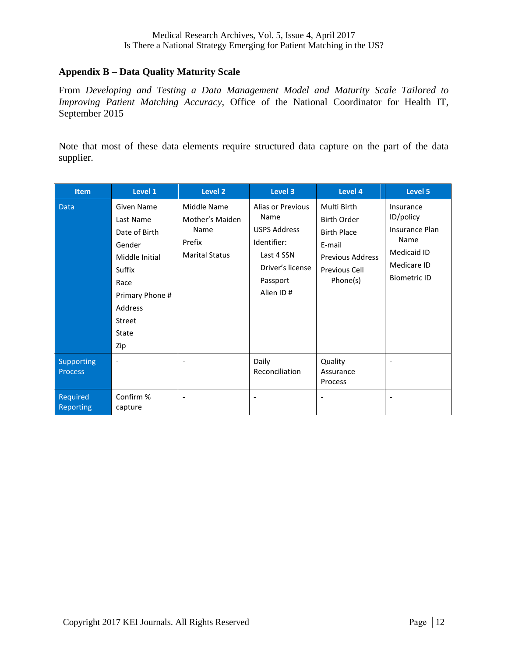#### **Appendix B – Data Quality Maturity Scale**

From *Developing and Testing a Data Management Model and Maturity Scale Tailored to Improving Patient Matching Accuracy*, Office of the National Coordinator for Health IT, September 2015

Note that most of these data elements require structured data capture on the part of the data supplier.

| <b>Item</b>                         | Level 1                                                                                                                                                      | <b>Level 2</b>                                                            | <b>Level 3</b>                                                                                                             | Level 4                                                                                                                   | Level 5                                                                                               |
|-------------------------------------|--------------------------------------------------------------------------------------------------------------------------------------------------------------|---------------------------------------------------------------------------|----------------------------------------------------------------------------------------------------------------------------|---------------------------------------------------------------------------------------------------------------------------|-------------------------------------------------------------------------------------------------------|
| <b>Data</b>                         | <b>Given Name</b><br>Last Name<br>Date of Birth<br>Gender<br>Middle Initial<br>Suffix<br>Race<br>Primary Phone #<br>Address<br><b>Street</b><br>State<br>Zip | Middle Name<br>Mother's Maiden<br>Name<br>Prefix<br><b>Marital Status</b> | Alias or Previous<br>Name<br><b>USPS Address</b><br>Identifier:<br>Last 4 SSN<br>Driver's license<br>Passport<br>Alien ID# | Multi Birth<br><b>Birth Order</b><br><b>Birth Place</b><br>E-mail<br><b>Previous Address</b><br>Previous Cell<br>Phone(s) | Insurance<br>ID/policy<br>Insurance Plan<br>Name<br>Medicaid ID<br>Medicare ID<br><b>Biometric ID</b> |
| <b>Supporting</b><br><b>Process</b> | $\tilde{\phantom{a}}$                                                                                                                                        |                                                                           | Daily<br>Reconciliation                                                                                                    | Quality<br>Assurance<br>Process                                                                                           |                                                                                                       |
| Required<br><b>Reporting</b>        | Confirm %<br>capture                                                                                                                                         |                                                                           |                                                                                                                            |                                                                                                                           |                                                                                                       |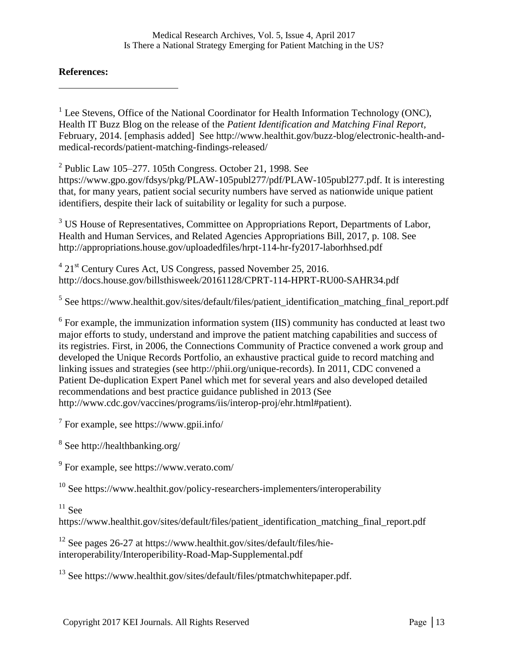#### **References:**

 $\overline{a}$ 

<sup>1</sup> Lee Stevens, Office of the National Coordinator for Health Information Technology (ONC), Health IT Buzz Blog on the release of the *Patient Identification and Matching Final Report,* February, 2014. [emphasis added] See http://www.healthit.gov/buzz-blog/electronic-health-andmedical-records/patient-matching-findings-released/

 $2$  Public Law 105–277. 105th Congress. October 21, 1998. See https://www.gpo.gov/fdsys/pkg/PLAW-105publ277/pdf/PLAW-105publ277.pdf. It is interesting that, for many years, patient social security numbers have served as nationwide unique patient identifiers, despite their lack of suitability or legality for such a purpose.

<sup>3</sup> US House of Representatives, Committee on Appropriations Report, Departments of Labor, Health and Human Services, and Related Agencies Appropriations Bill, 2017, p. 108. See http://appropriations.house.gov/uploadedfiles/hrpt-114-hr-fy2017-laborhhsed.pdf

<sup>4</sup> 21<sup>st</sup> Century Cures Act, US Congress, passed November 25, 2016. http://docs.house.gov/billsthisweek/20161128/CPRT-114-HPRT-RU00-SAHR34.pdf

<sup>5</sup> See https://www.healthit.gov/sites/default/files/patient\_identification\_matching\_final\_report.pdf

 $6$  For example, the immunization information system (IIS) community has conducted at least two major efforts to study, understand and improve the patient matching capabilities and success of its registries. First, in 2006, the Connections Community of Practice convened a work group and developed the Unique Records Portfolio, an exhaustive practical guide to record matching and linking issues and strategies (see http://phii.org/unique-records). In 2011, CDC convened a Patient De-duplication Expert Panel which met for several years and also developed detailed recommendations and best practice guidance published in 2013 (See http://www.cdc.gov/vaccines/programs/iis/interop-proj/ehr.html#patient).

 $7$  For example, see https://www.gpii.info/

<sup>8</sup> See http://healthbanking.org/

<sup>9</sup> For example, see https://www.verato.com/

<sup>10</sup> See https://www.healthit.gov/policy-researchers-implementers/interoperability

 $11$  See

https://www.healthit.gov/sites/default/files/patient\_identification\_matching\_final\_report.pdf

 $12$  See pages 26-27 at https://www.healthit.gov/sites/default/files/hieinteroperability/Interoperibility-Road-Map-Supplemental.pdf

 $13$  See https://www.healthit.gov/sites/default/files/ptmatchwhitepaper.pdf.